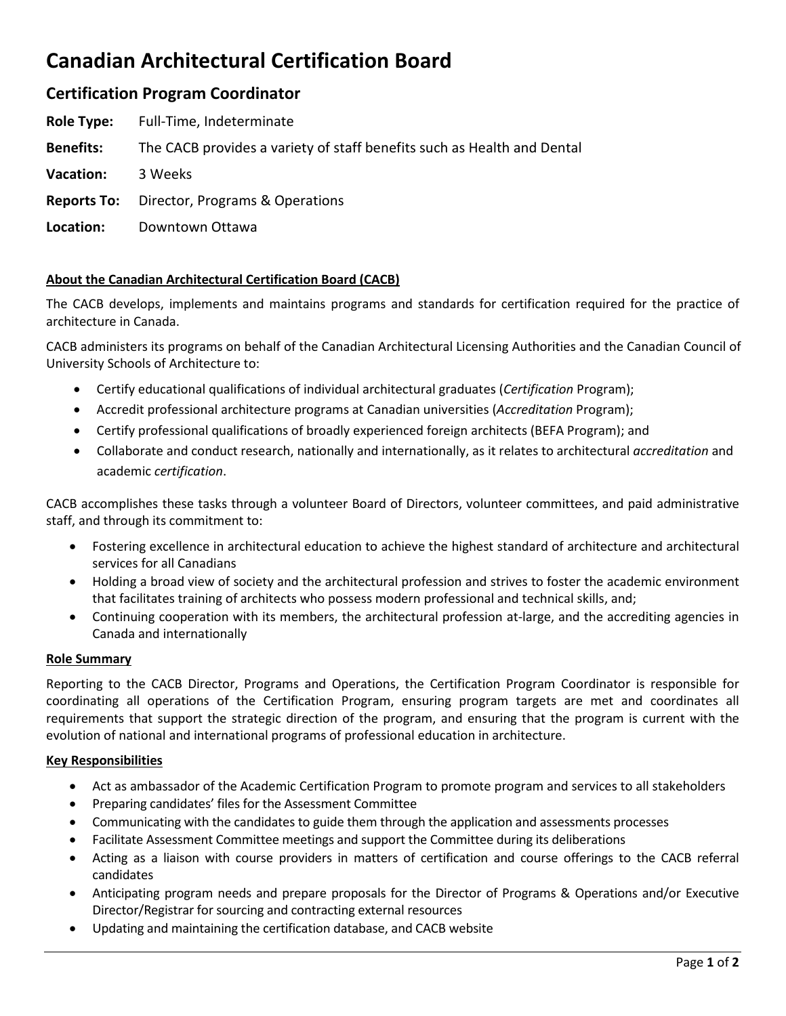# **Canadian Architectural Certification Board**

# **Certification Program Coordinator**

| <b>Role Type:</b> | Full-Time, Indeterminate                                                |
|-------------------|-------------------------------------------------------------------------|
| <b>Benefits:</b>  | The CACB provides a variety of staff benefits such as Health and Dental |
| <b>Vacation:</b>  | 3 Weeks                                                                 |
|                   | <b>Reports To:</b> Director, Programs & Operations                      |
| Location:         | Downtown Ottawa                                                         |
|                   |                                                                         |

# **About the Canadian Architectural Certification Board (CACB)**

The CACB develops, implements and maintains programs and standards for certification required for the practice of architecture in Canada.

CACB administers its programs on behalf of the Canadian Architectural Licensing Authorities and the Canadian Council of University Schools of Architecture to:

- Certify educational qualifications of individual architectural graduates (*Certification* Program);
- Accredit professional architecture programs at Canadian universities (*Accreditation* Program);
- Certify professional qualifications of broadly experienced foreign architects (BEFA Program); and
- Collaborate and conduct research, nationally and internationally, as it relates to architectural *accreditation* and academic *certification*.

CACB accomplishes these tasks through a volunteer Board of Directors, volunteer committees, and paid administrative staff, and through its commitment to:

- Fostering excellence in architectural education to achieve the highest standard of architecture and architectural services for all Canadians
- Holding a broad view of society and the architectural profession and strives to foster the academic environment that facilitates training of architects who possess modern professional and technical skills, and;
- Continuing cooperation with its members, the architectural profession at-large, and the accrediting agencies in Canada and internationally

## **Role Summary**

Reporting to the CACB Director, Programs and Operations, the Certification Program Coordinator is responsible for coordinating all operations of the Certification Program, ensuring program targets are met and coordinates all requirements that support the strategic direction of the program, and ensuring that the program is current with the evolution of national and international programs of professional education in architecture.

## **Key Responsibilities**

- Act as ambassador of the Academic Certification Program to promote program and services to all stakeholders
- Preparing candidates' files for the Assessment Committee
- Communicating with the candidates to guide them through the application and assessments processes
- Facilitate Assessment Committee meetings and support the Committee during its deliberations
- Acting as a liaison with course providers in matters of certification and course offerings to the CACB referral candidates
- Anticipating program needs and prepare proposals for the Director of Programs & Operations and/or Executive Director/Registrar for sourcing and contracting external resources
- Updating and maintaining the certification database, and CACB website